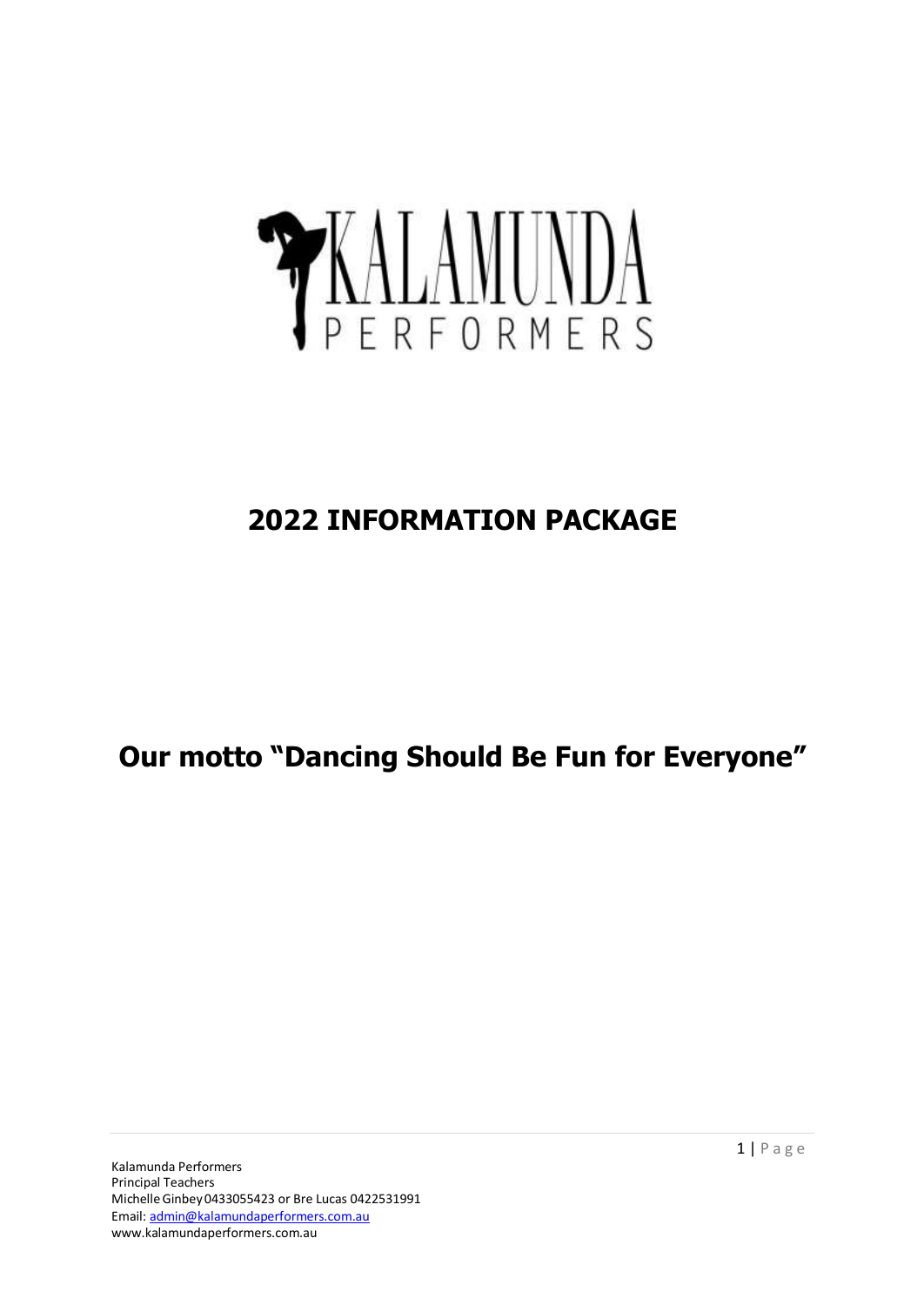# YKALAMUNDA

# **2022 INFORMATION PACKAGE**

**Our motto "Dancing Should Be Fun for Everyone"**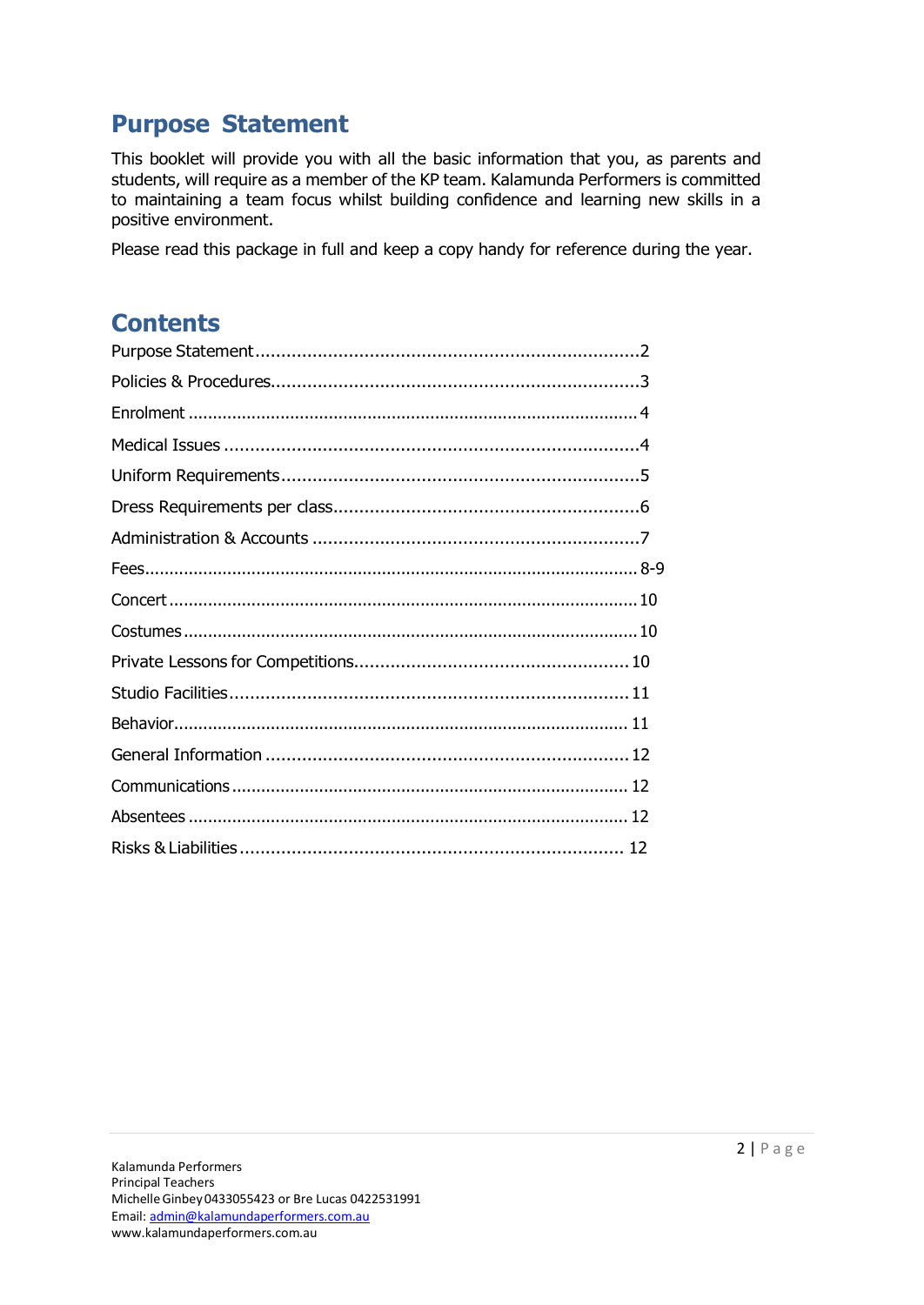# <span id="page-1-0"></span>**Purpose Statement**

This booklet will provide you with all the basic information that you, as parents and students, will require as a member of the KP team. Kalamunda Performers is committed to maintaining a team focus whilst building confidence and learning new skills in a positive environment.

Please read this package in full and keep a copy handy for reference during the year.

# **Contents**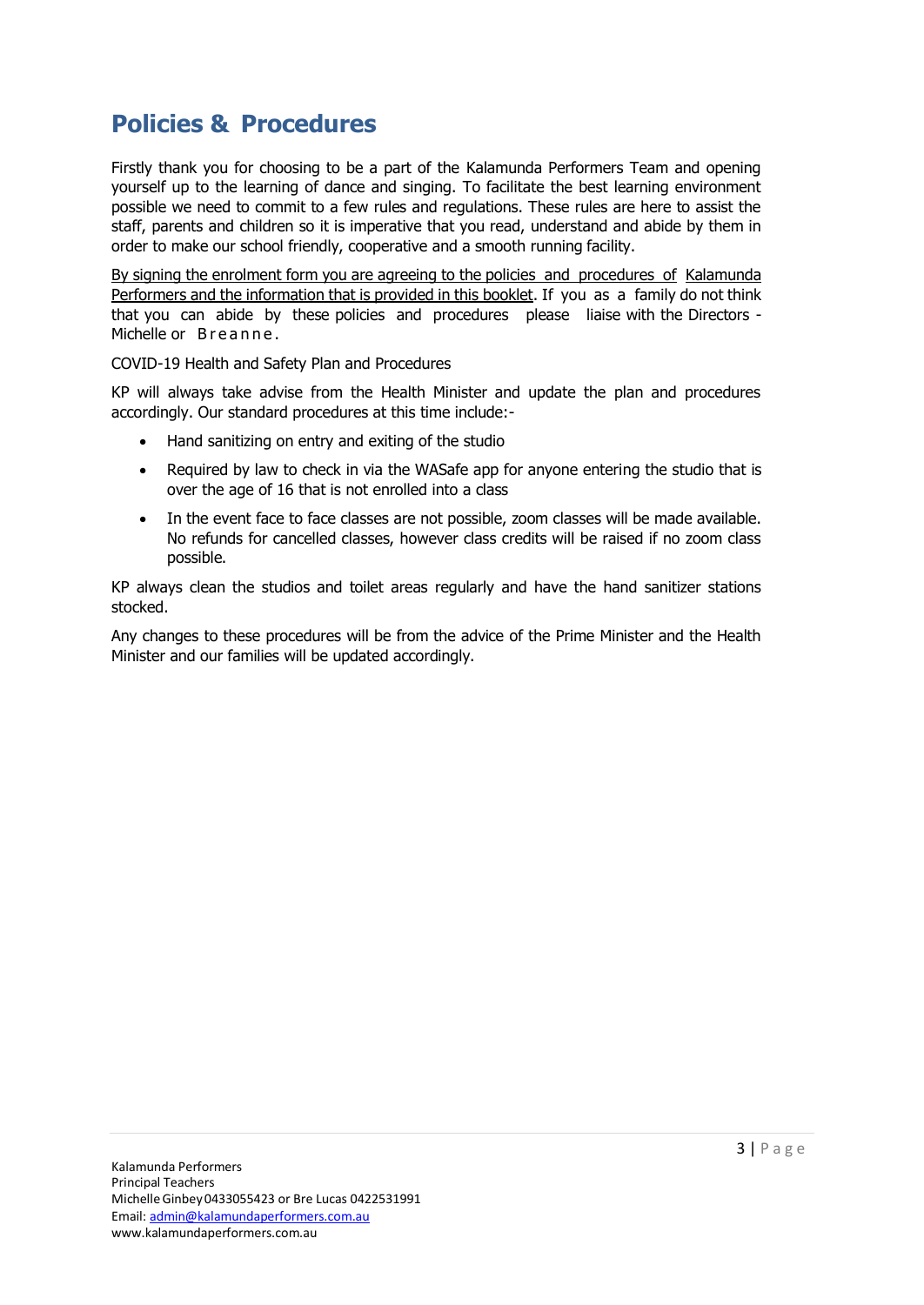# <span id="page-2-0"></span>**Policies & Procedures**

Firstly thank you for choosing to be a part of the Kalamunda Performers Team and opening yourself up to the learning of dance and singing. To facilitate the best learning environment possible we need to commit to a few rules and regulations. These rules are here to assist the staff, parents and children so it is imperative that you read, understand and abide by them in order to make our school friendly, cooperative and a smooth running facility.

By signing the enrolment form you are agreeing to the policies and procedures of Kalamunda Performers and the information that is provided in this booklet. If you as a family do not think that you can abide by these policies and procedures please liaise with the Directors - Michelle or Breanne.

COVID-19 Health and Safety Plan and Procedures

KP will always take advise from the Health Minister and update the plan and procedures accordingly. Our standard procedures at this time include:-

- Hand sanitizing on entry and exiting of the studio
- Required by law to check in via the WASafe app for anyone entering the studio that is over the age of 16 that is not enrolled into a class
- In the event face to face classes are not possible, zoom classes will be made available. No refunds for cancelled classes, however class credits will be raised if no zoom class possible.

KP always clean the studios and toilet areas regularly and have the hand sanitizer stations stocked.

Any changes to these procedures will be from the advice of the Prime Minister and the Health Minister and our families will be updated accordingly.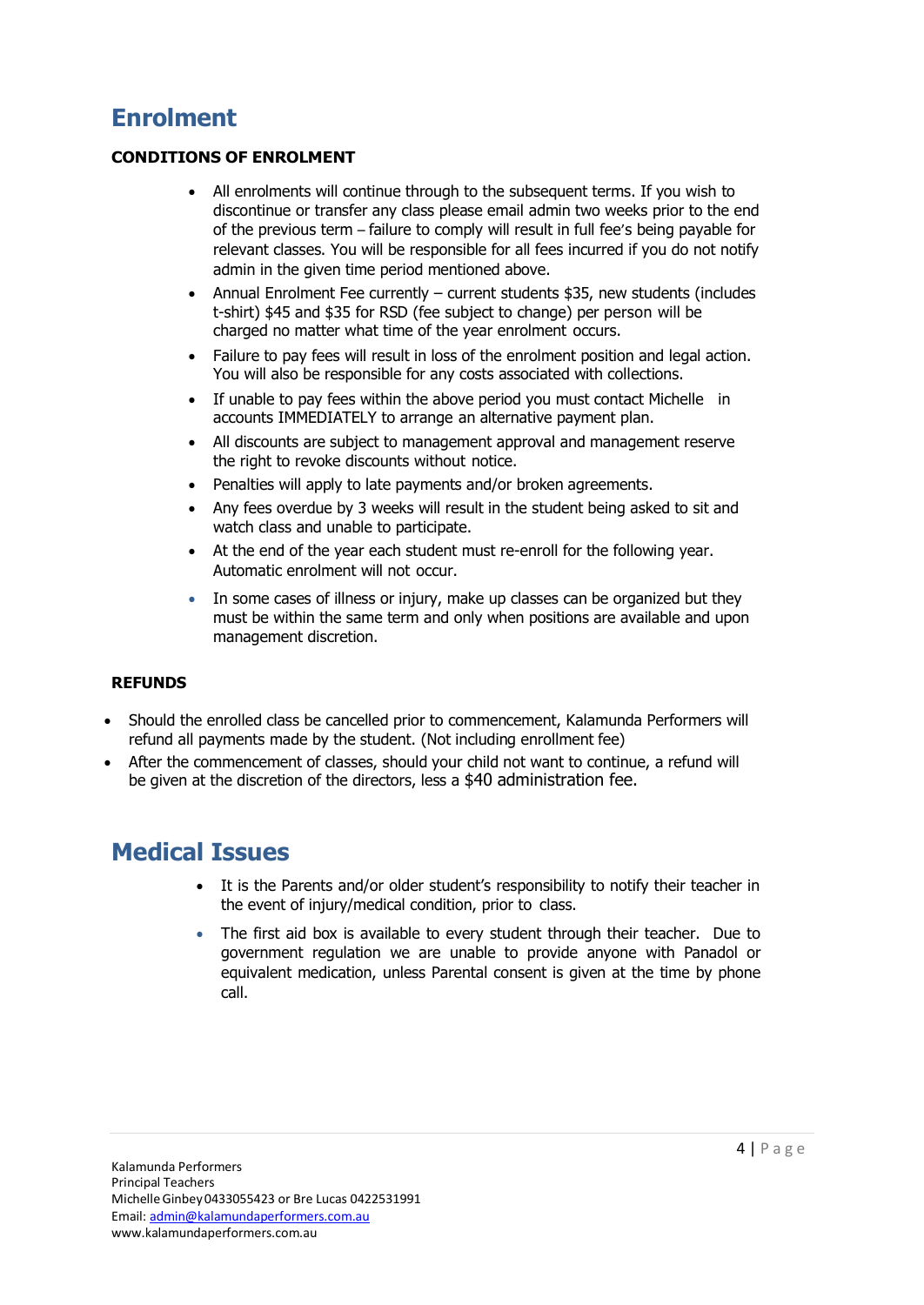# <span id="page-3-0"></span>**Enrolment**

### **CONDITIONS OF ENROLMENT**

- All enrolments will continue through to the subsequent terms. If you wish to discontinue or transfer any class please email admin two weeks prior to the end of the previous term – failure to comply will result in full fee's being payable for relevant classes. You will be responsible for all fees incurred if you do not notify admin in the given time period mentioned above.
- Annual Enrolment Fee currently current students \$35, new students (includes t-shirt) \$45 and \$35 for RSD (fee subject to change) per person will be charged no matter what time of the year enrolment occurs.
- Failure to pay fees will result in loss of the enrolment position and legal action. You will also be responsible for any costs associated with collections.
- If unable to pay fees within the above period you must contact Michelle in accounts IMMEDIATELY to arrange an alternative payment plan.
- All discounts are subject to management approval and management reserve the right to revoke discounts without notice.
- Penalties will apply to late payments and/or broken agreements.
- Any fees overdue by 3 weeks will result in the student being asked to sit and watch class and unable to participate.
- At the end of the year each student must re-enroll for the following year. Automatic enrolment will not occur.
- In some cases of illness or injury, make up classes can be organized but they must be within the same term and only when positions are available and upon management discretion.

### **REFUNDS**

- Should the enrolled class be cancelled prior to commencement, Kalamunda Performers will refund all payments made by the student. (Not including enrollment fee)
- After the commencement of classes, should your child not want to continue, a refund will be given at the discretion of the directors, less a \$40 administration fee.

# **Medical Issues**

- It is the Parents and/or older student's responsibility to notify their teacher in the event of injury/medical condition, prior to class.
- <span id="page-3-1"></span>• The first aid box is available to every student through their teacher. Due to government regulation we are unable to provide anyone with Panadol or equivalent medication, unless Parental consent is given at the time by phone call.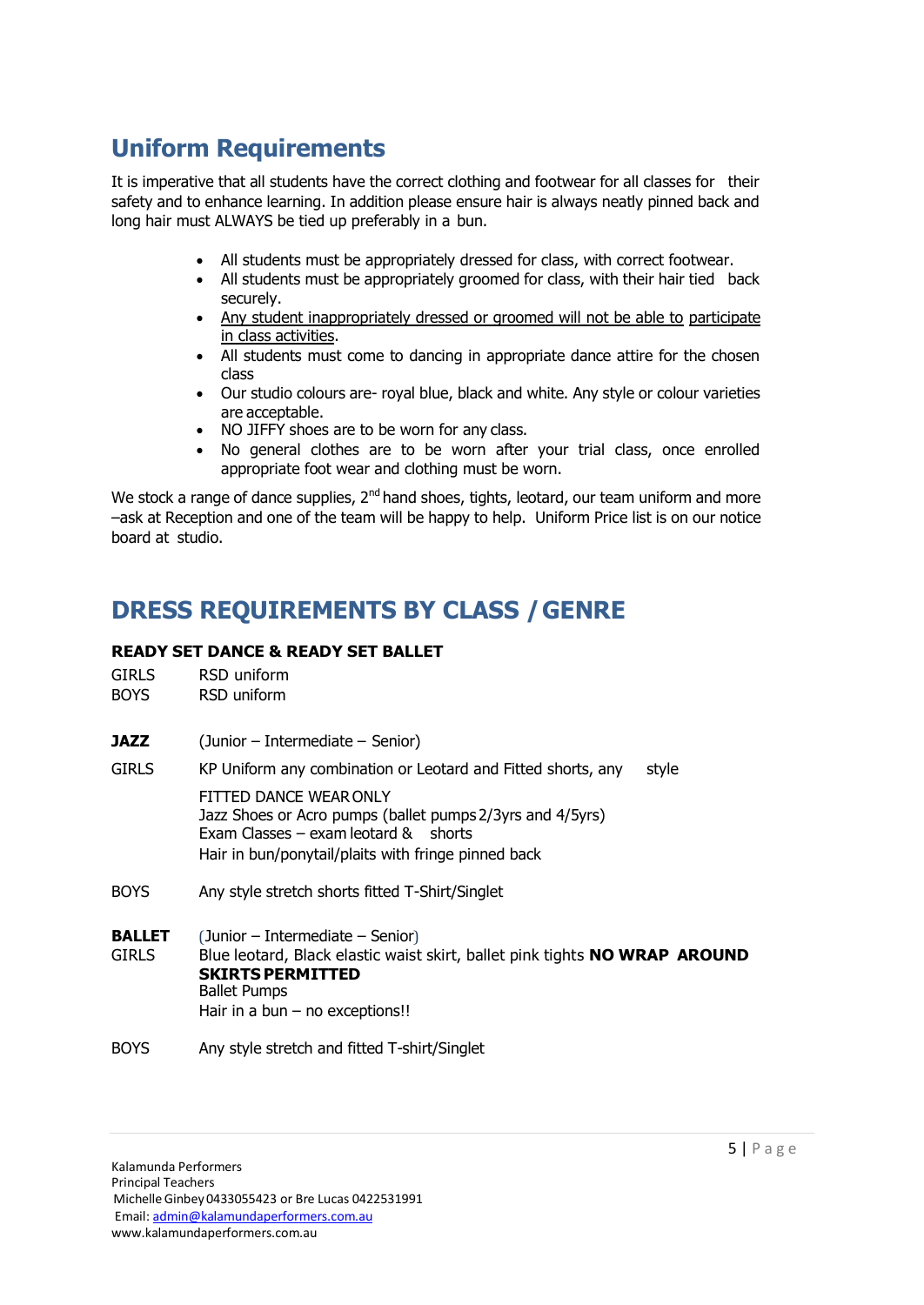# <span id="page-4-0"></span>**Uniform Requirements**

It is imperative that all students have the correct clothing and footwear for all classes for their safety and to enhance learning. In addition please ensure hair is always neatly pinned back and long hair must ALWAYS be tied up preferably in a bun.

- All students must be appropriately dressed for class, with correct footwear.
- All students must be appropriately groomed for class, with their hair tied back securely.
- Any student inappropriately dressed or groomed will not be able to participate in class activities.
- All students must come to dancing in appropriate dance attire for the chosen class
- Our studio colours are- royal blue, black and white. Any style or colour varieties are acceptable.
- NO JIFFY shoes are to be worn for any class.
- No general clothes are to be worn after your trial class, once enrolled appropriate foot wear and clothing must be worn.

We stock a range of dance supplies,  $2<sup>nd</sup>$  hand shoes, tights, leotard, our team uniform and more –ask at Reception and one of the team will be happy to help. Uniform Price list is on our notice board at studio.

# **DRESS REQUIREMENTS BY CLASS /GENRE**

### **READY SET DANCE & READY SET BALLET**

| <b>GIRLS</b>                  | RSD uniform                                                                                                                                                                                           |  |
|-------------------------------|-------------------------------------------------------------------------------------------------------------------------------------------------------------------------------------------------------|--|
| <b>BOYS</b>                   | RSD uniform                                                                                                                                                                                           |  |
| JAZZ                          | (Junior – Intermediate – Senior)                                                                                                                                                                      |  |
| <b>GIRLS</b>                  | KP Uniform any combination or Leotard and Fitted shorts, any<br>style                                                                                                                                 |  |
|                               | FITTED DANCE WEAR ONLY<br>Jazz Shoes or Acro pumps (ballet pumps 2/3yrs and 4/5yrs)<br>Exam Classes $-$ exam leotard $\&$ shorts<br>Hair in bun/ponytail/plaits with fringe pinned back               |  |
| <b>BOYS</b>                   | Any style stretch shorts fitted T-Shirt/Singlet                                                                                                                                                       |  |
| <b>BALLET</b><br><b>GIRLS</b> | (Junior – Intermediate – Senior)<br>Blue leotard, Black elastic waist skirt, ballet pink tights NO WRAP AROUND<br><b>SKIRTS PERMITTED</b><br><b>Ballet Pumps</b><br>Hair in a bun $-$ no exceptions!! |  |
| <b>BOYS</b>                   | Any style stretch and fitted T-shirt/Singlet                                                                                                                                                          |  |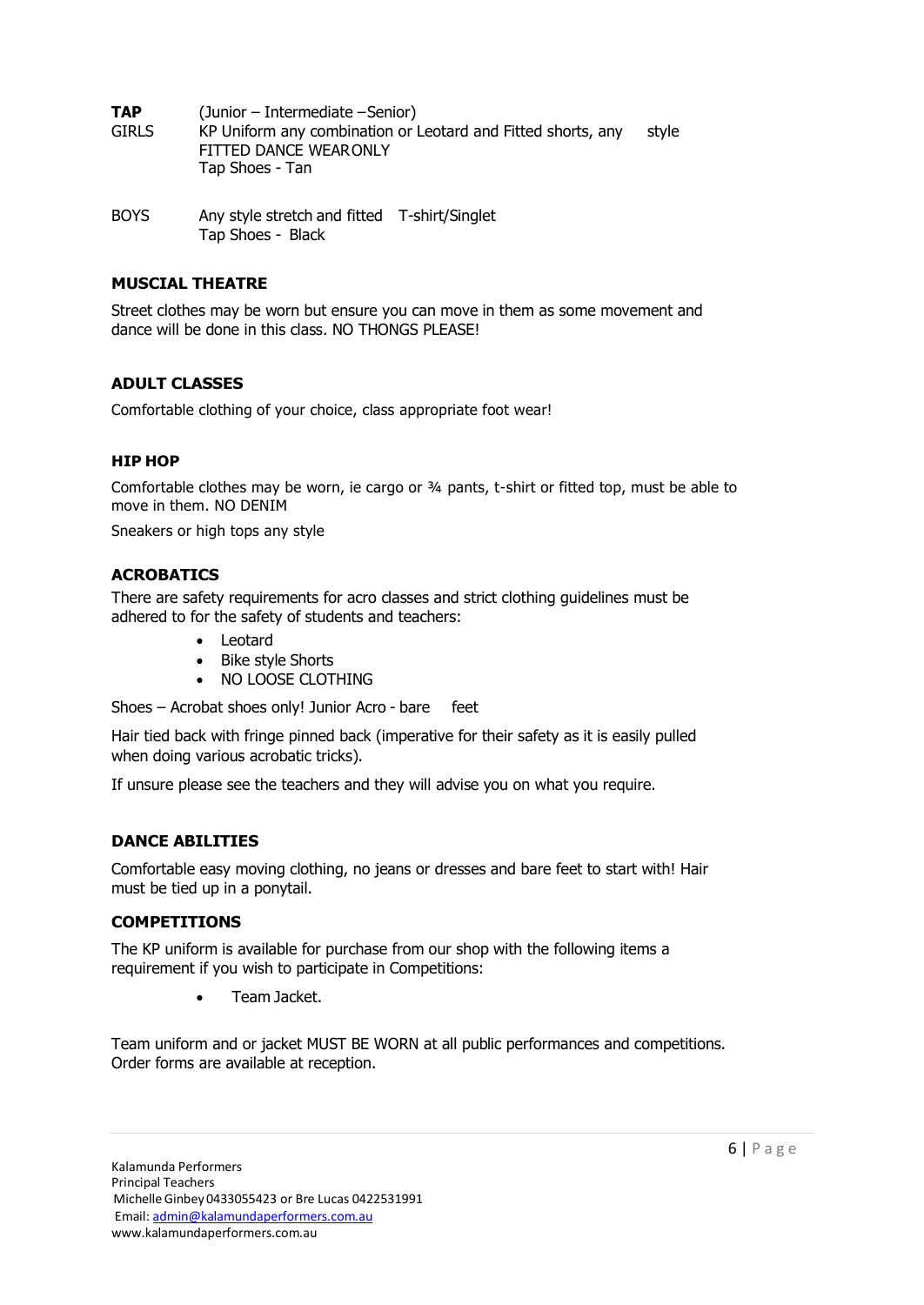**TAP** (Junior – Intermediate – Senior) GIRLS KP Uniform any combination or Leotard and Fitted shorts, any style FITTED DANCE WEARONLY Tap Shoes - Tan

BOYS Any style stretch and fitted T-shirt/Singlet Tap Shoes - Black

### **MUSCIAL THEATRE**

Street clothes may be worn but ensure you can move in them as some movement and dance will be done in this class. NO THONGS PLEASE!

### **ADULT CLASSES**

Comfortable clothing of your choice, class appropriate foot wear!

### **HIP HOP**

Comfortable clothes may be worn, ie cargo or  $\frac{3}{4}$  pants, t-shirt or fitted top, must be able to move in them. NO DENIM

Sneakers or high tops any style

### **ACROBATICS**

There are safety requirements for acro classes and strict clothing guidelines must be adhered to for the safety of students and teachers:

- Leotard
- Bike style Shorts
- NO LOOSE CLOTHING

Shoes – Acrobat shoes only! Junior Acro - bare feet

Hair tied back with fringe pinned back (imperative for their safety as it is easily pulled when doing various acrobatic tricks).

If unsure please see the teachers and they will advise you on what you require.

### **DANCE ABILITIES**

Comfortable easy moving clothing, no jeans or dresses and bare feet to start with! Hair must be tied up in a ponytail.

### **COMPETITIONS**

The KP uniform is available for purchase from our shop with the following items a requirement if you wish to participate in Competitions:

• Team Jacket.

<span id="page-5-0"></span>Team uniform and or jacket MUST BE WORN at all public performances and competitions. Order forms are available at reception.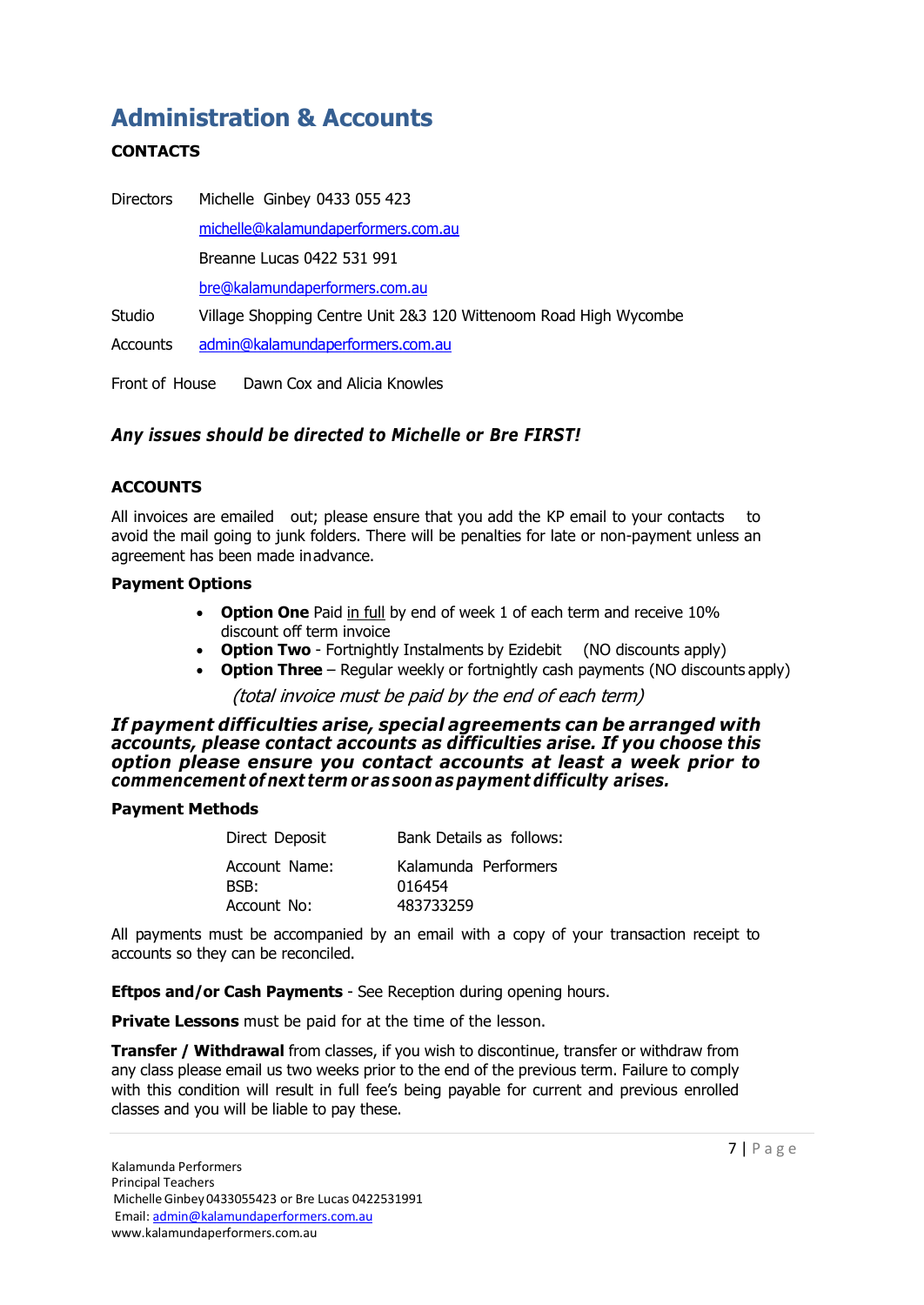# **Administration & Accounts**

### **CONTACTS**

Directors Michelle Ginbey 0433 055 423 [michelle@kalamundaperformers.com.au](mailto:michelle@kalamundaperformers.com.au) Breanne Lucas 0422 531 991 [bre@kalamundaperformers.com.au](mailto:bre@kalamundaperformers.com.au) Studio Village Shopping Centre Unit 2&3 120 Wittenoom Road High Wycombe Accounts [admin@kalamundaperformers.com.au](mailto:admin@kalamundaperformers.com.au)

Front of House Dawn Cox and Alicia Knowles

### <span id="page-6-0"></span>*Any issues should be directed to Michelle or Bre FIRST!*

### **ACCOUNTS**

All invoices are emailed out; please ensure that you add the KP email to your contacts to avoid the mail going to junk folders. There will be penalties for late or non-payment unless an agreement has been made inadvance.

### **Payment Options**

- **Option One** Paid in full by end of week 1 of each term and receive 10% discount off term invoice
- **Option Two**  Fortnightly Instalments by Ezidebit (NO discounts apply)
- **Option Three**  Regular weekly or fortnightly cash payments (NO discounts apply)

### (total invoice must be paid by the end of each term)

*If payment difficulties arise, special agreements can be arranged with accounts, please contact accounts as difficulties arise. If you choose this option please ensure you contact accounts at least a week prior to commencement of next term or as soon aspayment difficulty arises.*

### **Payment Methods**

| Direct Deposit                       | Bank Details as follows:                    |
|--------------------------------------|---------------------------------------------|
| Account Name:<br>BSB:<br>Account No: | Kalamunda Performers<br>016454<br>483733259 |
|                                      |                                             |

All payments must be accompanied by an email with a copy of your transaction receipt to accounts so they can be reconciled.

**Eftpos and/or Cash Payments** - See Reception during opening hours.

**Private Lessons** must be paid for at the time of the lesson.

**Transfer / Withdrawal** from classes, if you wish to discontinue, transfer or withdraw from any class please email us two weeks prior to the end of the previous term. Failure to comply with this condition will result in full fee's being payable for current and previous enrolled classes and you will be liable to pay these.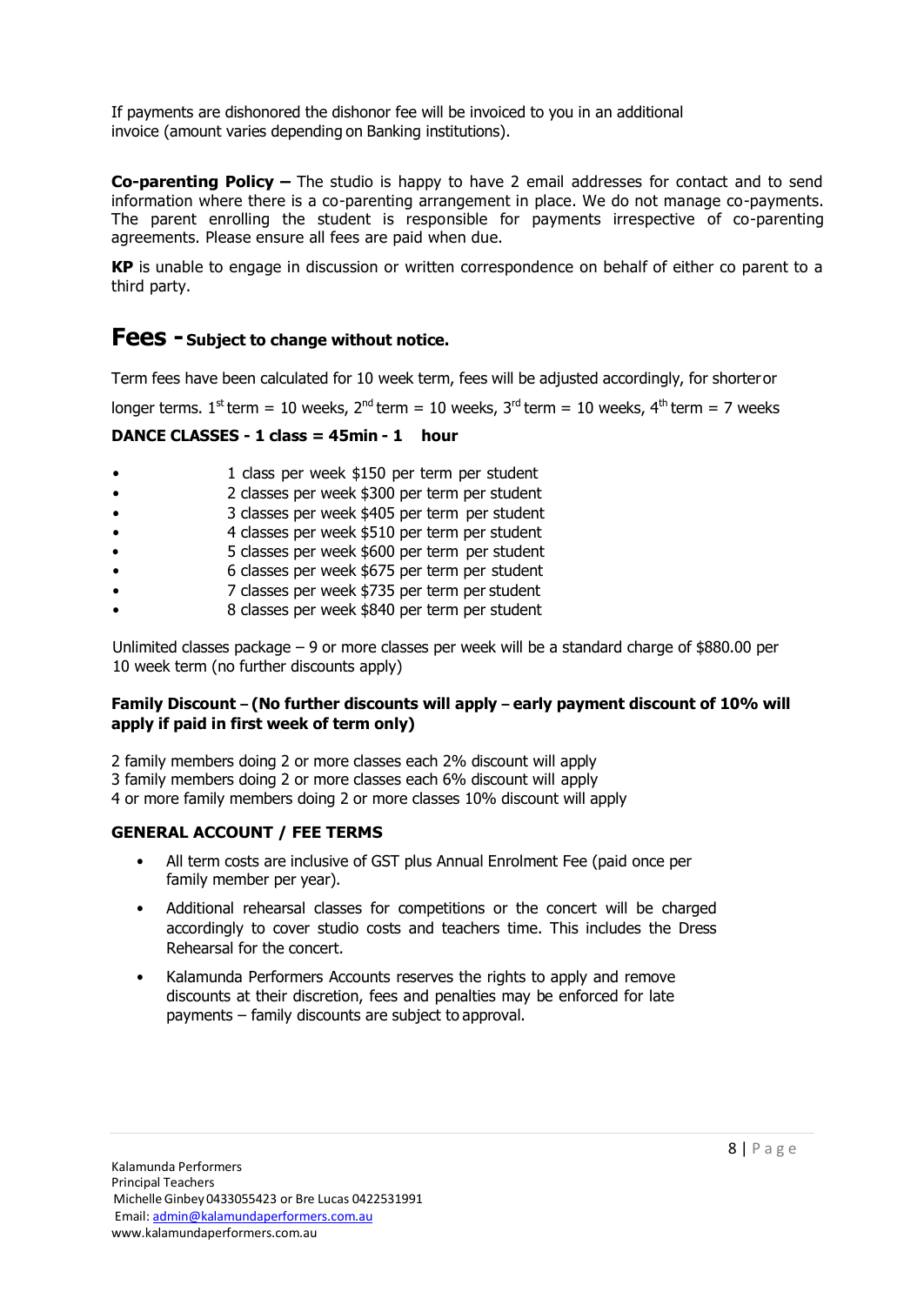If payments are dishonored the dishonor fee will be invoiced to you in an additional invoice (amount varies depending on Banking institutions).

**Co-parenting Policy –** The studio is happy to have 2 email addresses for contact and to send information where there is a co-parenting arrangement in place. We do not manage co-payments. The parent enrolling the student is responsible for payments irrespective of co-parenting agreements. Please ensure all fees are paid when due.

**KP** is unable to engage in discussion or written correspondence on behalf of either co parent to a third party.

### **Fees - Subject to change without notice.**

Term fees have been calculated for 10 week term, fees will be adjusted accordingly, for shorteror

longer terms.  $1^{st}$  term = 10 weeks,  $2^{nd}$  term = 10 weeks,  $3^{rd}$  term = 10 weeks,  $4^{th}$  term = 7 weeks

### **DANCE CLASSES - 1 class = 45min - 1 hour**

- 1 class per week \$150 per term per student
- 2 classes per week \$300 per term per student
- 3 classes per week \$405 per term per student
- 4 classes per week \$510 per term per student
- 5 classes per week \$600 per term per student
- 6 classes per week \$675 per term per student
- 7 classes per week \$735 per term per student
- 8 classes per week \$840 per term per student

Unlimited classes package – 9 or more classes per week will be a standard charge of \$880.00 per 10 week term (no further discounts apply)

### **Family Discount – (No further discounts will apply – early payment discount of 10% will apply if paid in first week of term only)**

2 family members doing 2 or more classes each 2% discount will apply 3 family members doing 2 or more classes each 6% discount will apply 4 or more family members doing 2 or more classes 10% discount will apply

### **GENERAL ACCOUNT / FEE TERMS**

- All term costs are inclusive of GST plus Annual Enrolment Fee (paid once per family member per year).
- Additional rehearsal classes for competitions or the concert will be charged accordingly to cover studio costs and teachers time. This includes the Dress Rehearsal for the concert.
- Kalamunda Performers Accounts reserves the rights to apply and remove discounts at their discretion, fees and penalties may be enforced for late payments – family discounts are subject to approval.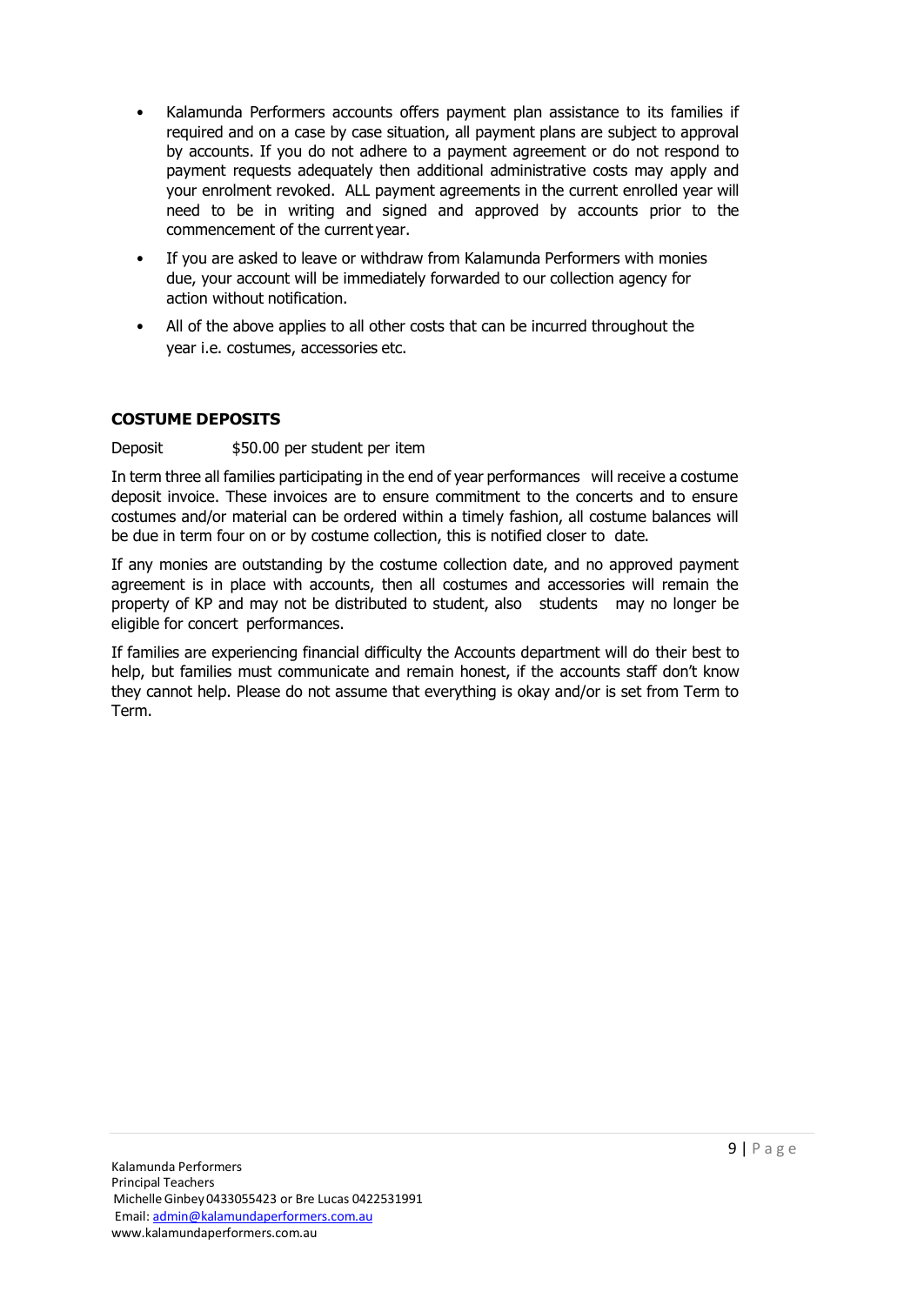- Kalamunda Performers accounts offers payment plan assistance to its families if required and on a case by case situation, all payment plans are subject to approval by accounts. If you do not adhere to a payment agreement or do not respond to payment requests adequately then additional administrative costs may apply and your enrolment revoked. ALL payment agreements in the current enrolled year will need to be in writing and signed and approved by accounts prior to the commencement of the current year.
- If you are asked to leave or withdraw from Kalamunda Performers with monies due, your account will be immediately forwarded to our collection agency for action without notification.
- All of the above applies to all other costs that can be incurred throughout the year i.e. costumes, accessories etc.

### <span id="page-8-1"></span>**COSTUME DEPOSITS**

### Deposit \$50.00 per student per item

In term three all families participating in the end of year performances will receive a costume deposit invoice. These invoices are to ensure commitment to the concerts and to ensure costumes and/or material can be ordered within a timely fashion, all costume balances will be due in term four on or by costume collection, this is notified closer to date.

If any monies are outstanding by the costume collection date, and no approved payment agreement is in place with accounts, then all costumes and accessories will remain the property of KP and may not be distributed to student, also students may no longer be eligible for concert performances.

<span id="page-8-0"></span>If families are experiencing financial difficulty the Accounts department will do their best to help, but families must communicate and remain honest, if the accounts staff don't know they cannot help. Please do not assume that everything is okay and/or is set from Term to Term.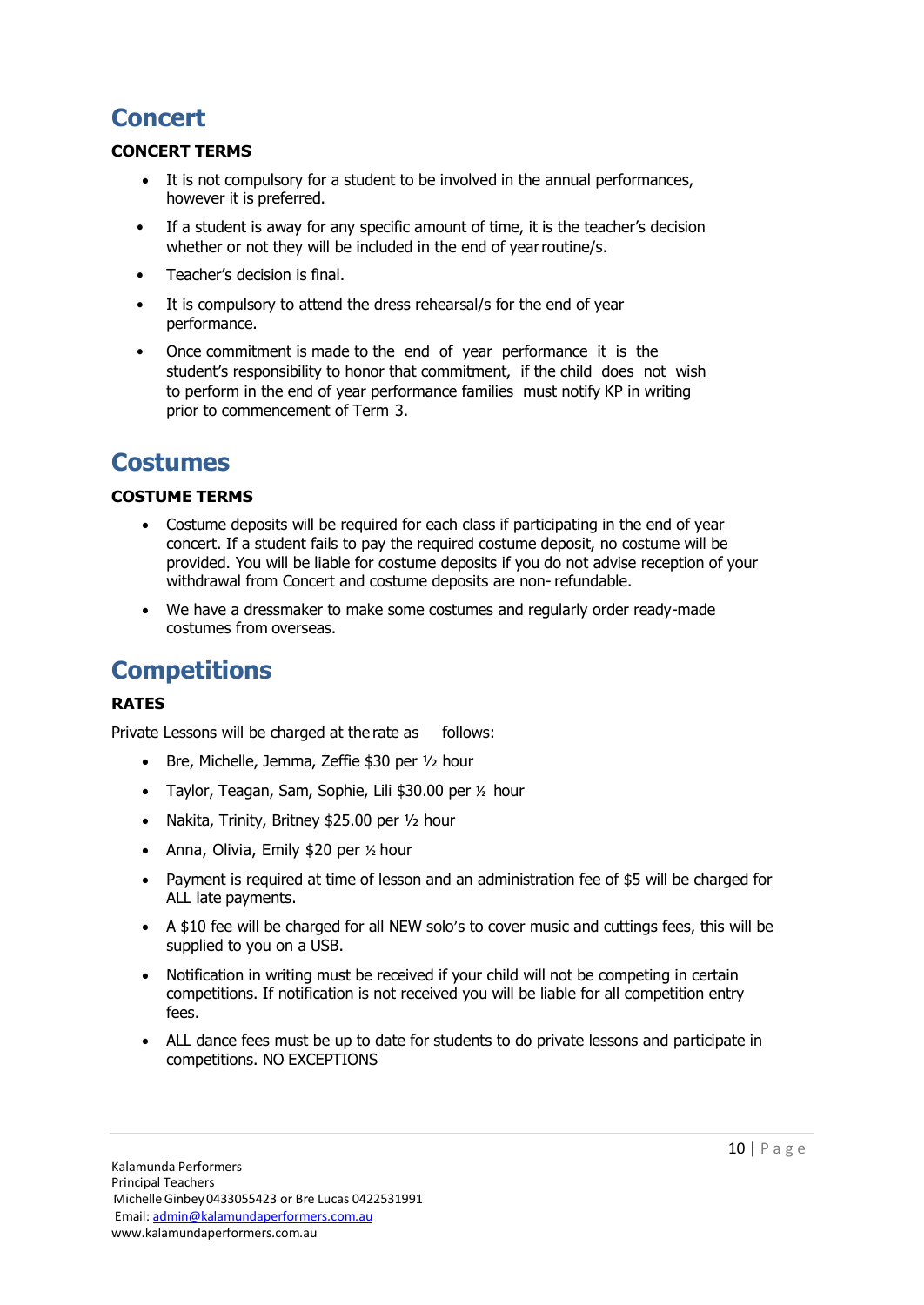# **Concert**

### **CONCERT TERMS**

- It is not compulsory for a student to be involved in the annual performances, however it is preferred.
- If a student is away for any specific amount of time, it is the teacher's decision whether or not they will be included in the end of yearroutine/s.
- Teacher's decision is final.
- It is compulsory to attend the dress rehearsal/s for the end of year performance.
- Once commitment is made to the end of year performance it is the student's responsibility to honor that commitment, if the child does not wish to perform in the end of year performance families must notify KP in writing prior to commencement of Term 3.

# <span id="page-9-0"></span>**Costumes**

### **COSTUME TERMS**

- Costume deposits will be required for each class if participating in the end of year concert. If a student fails to pay the required costume deposit, no costume will be provided. You will be liable for costume deposits if you do not advise reception of your withdrawal from Concert and costume deposits are non- refundable.
- We have a dressmaker to make some costumes and regularly order ready-made costumes from overseas.

# **Competitions**

### **RATES**

Private Lessons will be charged at the rate as follows:

- Bre, Michelle, Jemma, Zeffie \$30 per ½ hour
- Taylor, Teagan, Sam, Sophie, Lili \$30.00 per ½ hour
- Nakita, Trinity, Britney \$25.00 per 1/2 hour
- Anna, Olivia, Emily \$20 per 1/2 hour
- Payment is required at time of lesson and an administration fee of \$5 will be charged for ALL late payments.
- A \$10 fee will be charged for all NEW solo's to cover music and cuttings fees, this will be supplied to you on a USB.
- Notification in writing must be received if your child will not be competing in certain competitions. If notification is not received you will be liable for all competition entry fees.
- ALL dance fees must be up to date for students to do private lessons and participate in competitions. NO EXCEPTIONS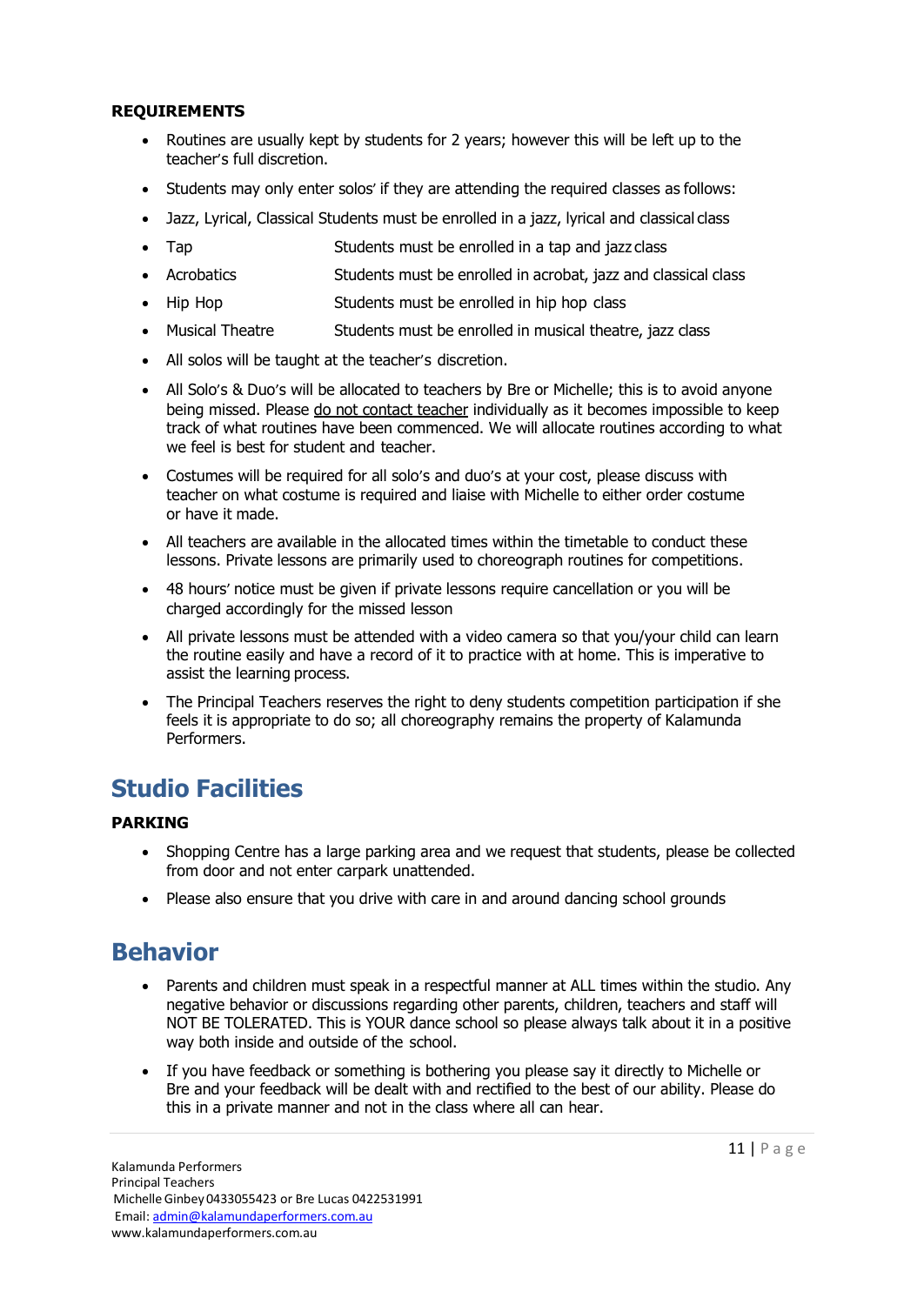### **REQUIREMENTS**

- Routines are usually kept by students for 2 years; however this will be left up to the teacher's full discretion.
- Students may only enter solos' if they are attending the required classes as follows:
- Jazz, Lyrical, Classical Students must be enrolled in a jazz, lyrical and classical class
- Tap **Students must be enrolled in a tap and jazz class**
- Acrobatics Students must be enrolled in acrobat, jazz and classical class
- Hip Hop Students must be enrolled in hip hop class
- Musical Theatre Students must be enrolled in musical theatre, jazz class
- All solos will be taught at the teacher's discretion.
- All Solo's & Duo's will be allocated to teachers by Bre or Michelle; this is to avoid anyone being missed. Please do not contact teacher individually as it becomes impossible to keep track of what routines have been commenced. We will allocate routines according to what we feel is best for student and teacher.
- Costumes will be required for all solo's and duo's at your cost, please discuss with teacher on what costume is required and liaise with Michelle to either order costume or have it made.
- All teachers are available in the allocated times within the timetable to conduct these lessons. Private lessons are primarily used to choreograph routines for competitions.
- 48 hours' notice must be given if private lessons require cancellation or you will be charged accordingly for the missed lesson
- All private lessons must be attended with a video camera so that you/your child can learn the routine easily and have a record of it to practice with at home. This is imperative to assist the learning process.
- The Principal Teachers reserves the right to deny students competition participation if she feels it is appropriate to do so; all choreography remains the property of Kalamunda Performers.

# **Studio Facilities**

### **PARKING**

- Shopping Centre has a large parking area and we request that students, please be collected from door and not enter carpark unattended.
- Please also ensure that you drive with care in and around dancing school grounds

# <span id="page-10-0"></span>**Behavior**

- Parents and children must speak in a respectful manner at ALL times within the studio. Any negative behavior or discussions regarding other parents, children, teachers and staff will NOT BE TOLERATED. This is YOUR dance school so please always talk about it in a positive way both inside and outside of the school.
- If you have feedback or something is bothering you please say it directly to Michelle or Bre and your feedback will be dealt with and rectified to the best of our ability. Please do this in a private manner and not in the class where all can hear.